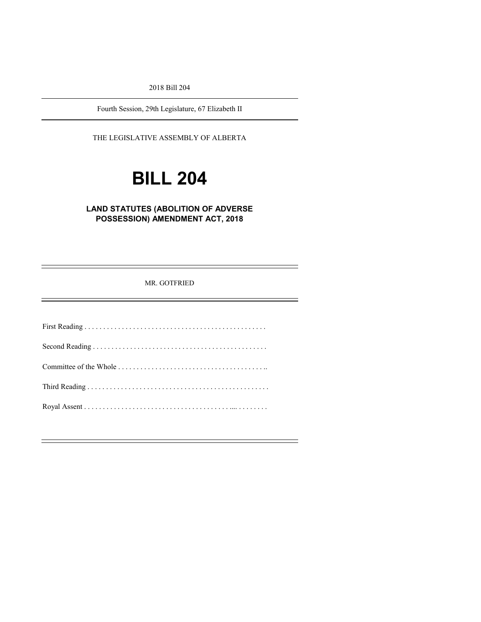2018 Bill 204

Fourth Session, 29th Legislature, 67 Elizabeth II

THE LEGISLATIVE ASSEMBLY OF ALBERTA

# **BILL 204**

# **LAND STATUTES (ABOLITION OF ADVERSE POSSESSION) AMENDMENT ACT, 2018**

MR. GOTFRIED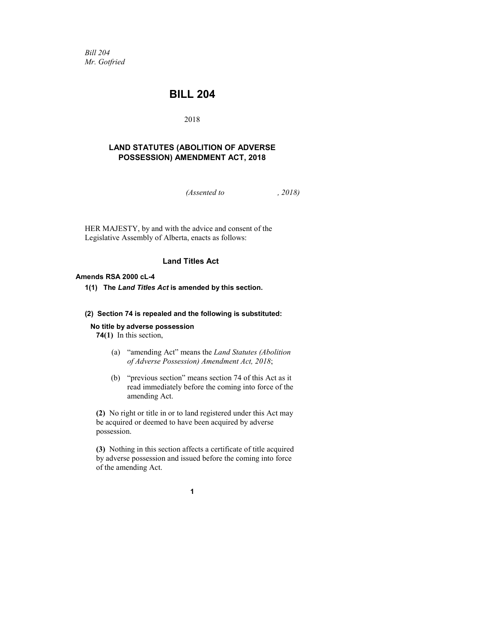*Bill 204 Mr. Gotfried*

# **BILL 204**

2018

# **LAND STATUTES (ABOLITION OF ADVERSE POSSESSION) AMENDMENT ACT, 2018**

*(Assented to , 2018)*

HER MAJESTY, by and with the advice and consent of the Legislative Assembly of Alberta, enacts as follows:

# **Land Titles Act**

#### **Amends RSA 2000 cL-4**

**1(1) The** *Land Titles Act* **is amended by this section.**

#### **(2) Section 74 is repealed and the following is substituted:**

#### **No title by adverse possession**

**74(1)** In this section,

- (a) "amending Act" means the *Land Statutes (Abolition of Adverse Possession) Amendment Act, 2018*;
- (b) "previous section" means section 74 of this Act as it read immediately before the coming into force of the amending Act.

**(2)** No right or title in or to land registered under this Act may be acquired or deemed to have been acquired by adverse possession.

**(3)** Nothing in this section affects a certificate of title acquired by adverse possession and issued before the coming into force of the amending Act.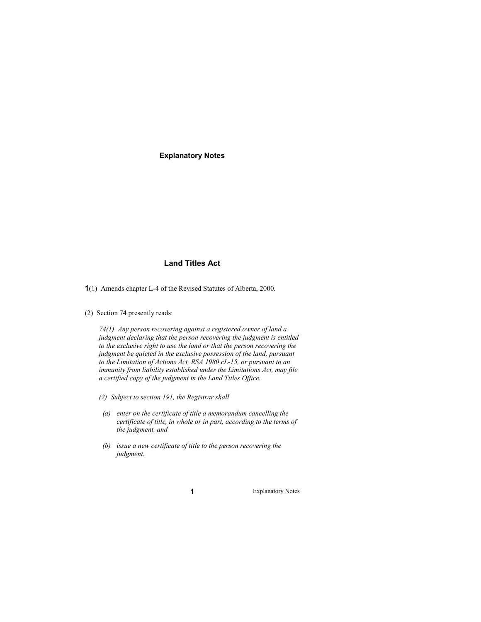**Explanatory Notes**

# **Land Titles Act**

- **1**(1) Amends chapter L-4 of the Revised Statutes of Alberta, 2000.
- (2) Section 74 presently reads:

*74(1) Any person recovering against a registered owner of land a judgment declaring that the person recovering the judgment is entitled to the exclusive right to use the land or that the person recovering the judgment be quieted in the exclusive possession of the land, pursuant to the Limitation of Actions Act, RSA 1980 cL-15, or pursuant to an immunity from liability established under the Limitations Act, may file a certified copy of the judgment in the Land Titles Office.*

- *(2) Subject to section 191, the Registrar shall*
	- *(a) enter on the certificate of title a memorandum cancelling the certificate of title, in whole or in part, according to the terms of the judgment, and*
	- *(b) issue a new certificate of title to the person recovering the judgment.*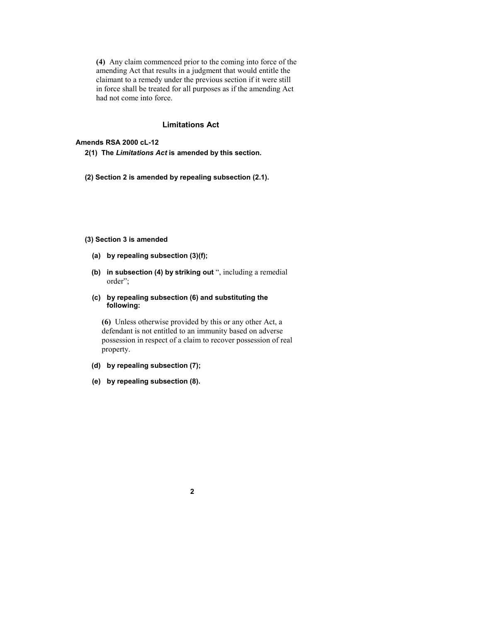**(4)** Any claim commenced prior to the coming into force of the amending Act that results in a judgment that would entitle the claimant to a remedy under the previous section if it were still in force shall be treated for all purposes as if the amending Act had not come into force.

#### **Limitations Act**

#### **Amends RSA 2000 cL-12**

**2(1) The** *Limitations Act* **is amended by this section.**

**(2) Section 2 is amended by repealing subsection (2.1).**

#### **(3) Section 3 is amended**

- **(a) by repealing subsection (3)(f);**
- **(b) in subsection (4) by striking out** ", including a remedial order";
- **(c) by repealing subsection (6) and substituting the following:**

**(6)** Unless otherwise provided by this or any other Act, a defendant is not entitled to an immunity based on adverse possession in respect of a claim to recover possession of real property.

- **(d) by repealing subsection (7);**
- **(e) by repealing subsection (8).**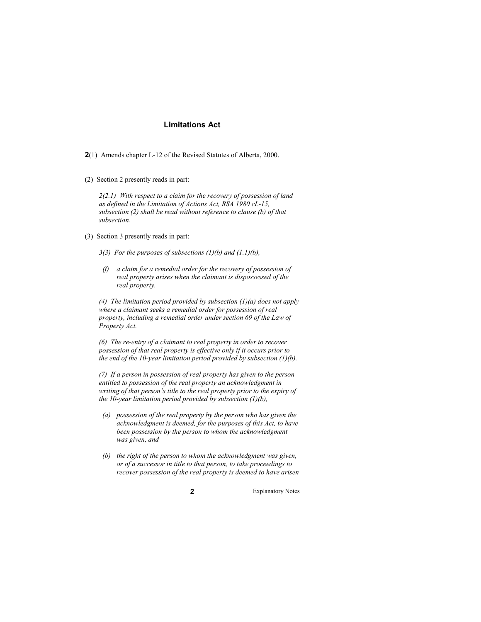### **Limitations Act**

**2**(1) Amends chapter L-12 of the Revised Statutes of Alberta, 2000.

(2) Section 2 presently reads in part:

*2(2.1) With respect to a claim for the recovery of possession of land as defined in the Limitation of Actions Act, RSA 1980 cL-15, subsection (2) shall be read without reference to clause (b) of that subsection.*

(3) Section 3 presently reads in part:

*3(3) For the purposes of subsections (1)(b) and (1.1)(b),*

*(f) a claim for a remedial order for the recovery of possession of real property arises when the claimant is dispossessed of the real property.*

*(4) The limitation period provided by subsection (1)(a) does not apply where a claimant seeks a remedial order for possession of real property, including a remedial order under section 69 of the Law of Property Act.*

*(6) The re-entry of a claimant to real property in order to recover possession of that real property is effective only if it occurs prior to the end of the 10-year limitation period provided by subsection (1)(b).*

*(7) If a person in possession of real property has given to the person entitled to possession of the real property an acknowledgment in writing of that person's title to the real property prior to the expiry of the 10-year limitation period provided by subsection (1)(b),*

- *(a) possession of the real property by the person who has given the acknowledgment is deemed, for the purposes of this Act, to have been possession by the person to whom the acknowledgment was given, and*
- *(b) the right of the person to whom the acknowledgment was given, or of a successor in title to that person, to take proceedings to recover possession of the real property is deemed to have arisen*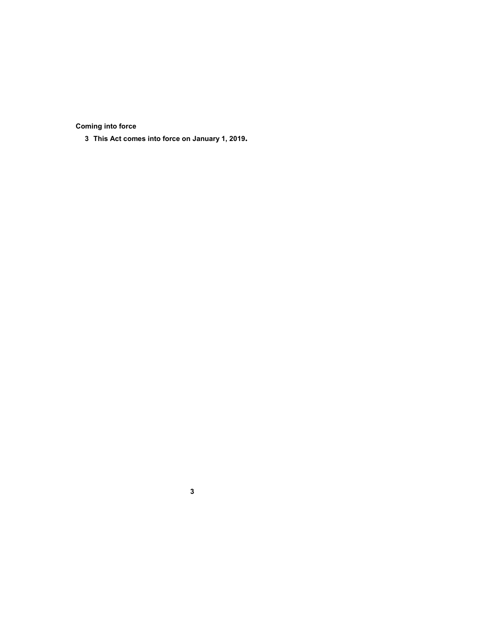**Coming into force**

**This Act comes into force on January 1, 2019.**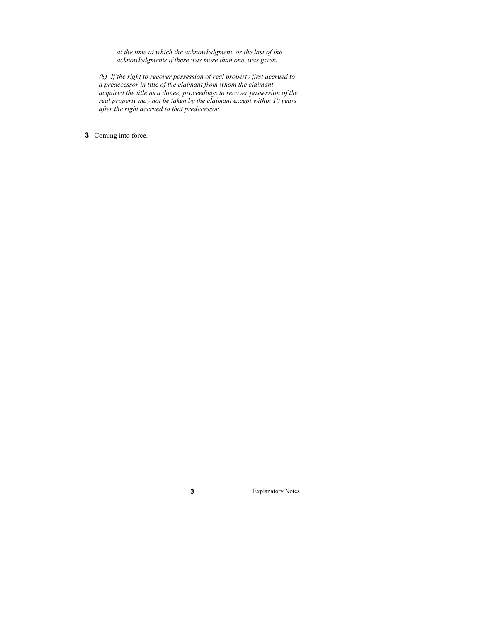*at the time at which the acknowledgment, or the last of the acknowledgments if there was more than one, was given.*

*(8) If the right to recover possession of real property first accrued to a predecessor in title of the claimant from whom the claimant acquired the title as a donee, proceedings to recover possession of the real property may not be taken by the claimant except within 10 years after the right accrued to that predecessor.*

**3** Coming into force.